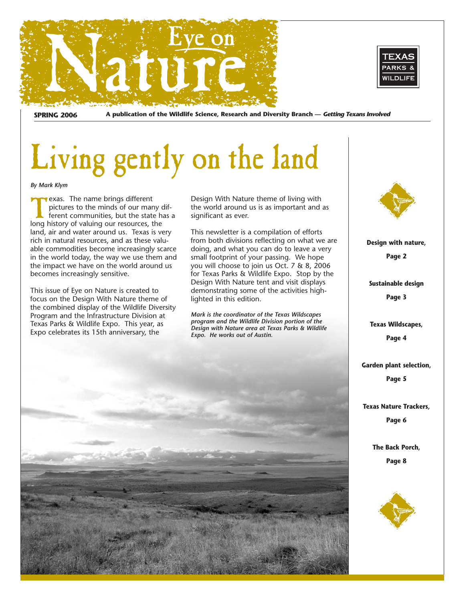



**SPRING 2006 A publication of the Wildlife Science, Research and Diversity Branch — Getting Texans Involved**

# Living gently on the land

*By Mark Klym*

Texas. The name brings different<br>
pictures to the minds of our many dif-<br>
ferent communities, but the state has a<br>
long bistory of valuing our resources the pictures to the minds of our many diflong history of valuing our resources, the land, air and water around us. Texas is very rich in natural resources, and as these valuable commodities become increasingly scarce in the world today, the way we use them and the impact we have on the world around us becomes increasingly sensitive.

This issue of Eye on Nature is created to focus on the Design With Nature theme of the combined display of the Wildlife Diversity Program and the Infrastructure Division at Texas Parks & Wildlife Expo. This year, as Expo celebrates its 15th anniversary, the

Design With Nature theme of living with the world around us is as important and as significant as ever.

This newsletter is a compilation of efforts from both divisions reflecting on what we are doing, and what you can do to leave a very small footprint of your passing. We hope you will choose to join us Oct. 7 & 8, 2006 for Texas Parks & Wildlife Expo. Stop by the Design With Nature tent and visit displays demonstrating some of the activities highlighted in this edition.

*Mark is the coordinator of the Texas Wildscapes program and the Wildlife Division portion of the Design with Nature area at Texas Parks & Wildlife Expo. He works out of Austin.*





**Design with nature,** 

**Page 2**

**Sustainable design Page 3**

**Texas Wildscapes,**

**Page 4**

**Garden plant selection,** 

**Page 5**

**Texas Nature Trackers,**

**Page 6**

**The Back Porch, Page 8**

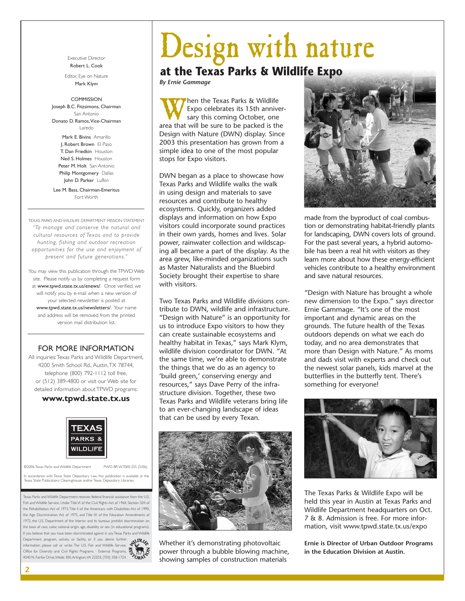Executive Director Robert L. Cook

Editor, Eye on Nature Mark Klym

### COMMISSION

Joseph B.C. Fitzsimons, Chairman San Antonio Donato D. Ramos,Vice-Chairman Laredo Mark E. Bivins Amarillo J. Robert Brown El Paso

T. Dan Friedkin Houston Ned S. Holmes Houston Peter M. Holt San Antonio Philip Montgomery Dallas John D. Parker Lufkin

Lee M. Bass, Chairman-Emeritus Fort Worth

TEXAS PARKS AND WILDLIFE DEPARTMENT MISSION STATEMENT *"To manage and conser ve the natural and cultural resources of Texas and to provide hunting, fishing and outdoor recreation opportunities for the use and enjoyment of present and future generations."*

You may view this publication through the TPWD Web site. Please notify us by completing a request form at www.tpwd.state.tx.us/enews/. Once verified, we will notify you by e-mail when a new version of your selected newsletter is posted at www.tpwd.state.tx.us/newsletters/. Your name and address will be removed from the printed version mail distribution list.

## FOR MORE INFORMATION

All inquiries: Texas Parks and Wildlife Department, 4200 Smith School Rd., Austin,TX 78744, telephone (800) 792-1112 toll free, or (512) 389-4800 or visit our Web site for detailed information about TPWD programs:

## **www.tpwd.state.tx.us**



©2006 Texas Parks and Wildlife Department PWD BR W7000-255 (5/06)

In accordance with Texas State Depository Law, this publication is available at the Texas State Publications Clearinghouse and/or Texas Depository Libraries.

Texas Parks and Wildlife Department receives federal financial assistance from the U.S. Fish and Wildlife Service. Under Title VI of the Civil Rights Act of 1964, Section 504 of the Rehabilitation Act of 1973,Title II of the Americans with Disabilities Act of 1990, the Age Discrimination Act of 1975, and Title IX of the Education Amendments of 1972, the U.S. Department of the Interior and its bureaus prohibit discrimination on the basis of race, color, national origin, age, disability or sex (in educational programs). If you believe that you have been discriminated against in any Texas Parks and Wildlife Department program, activity, or facility, or if you desire further information, please call or write: The U.S. Fish and Wildlife Service, Office for Diversity and Civil Rights Programs - External Programs, information, please call or write: The U.S. Fish and Wildlife Service,  $\frac{dS_{\text{tot}}}{dS}$ <br>Office for Diversity and Civil Rights Programs - External Programs,  $\frac{dS_{\text{tot}}}{dS}$ <br>4040 N. Fairfax Drive, Webb 300, Arlington, VA



# **at the Texas Parks & Wildlife Expo**

*By Ernie Gammage*

**When the Texas Parks & Wildlife**<br>
sary this coming October, one<br>
area that will be sure to be packed is the Expo celebrates its 15th anniversary this coming October, one Design with Nature (DWN) display. Since 2003 this presentation has grown from a simple idea to one of the most popular stops for Expo visitors.

DWN began as a place to showcase how Texas Parks and Wildlife walks the walk in using design and materials to save resources and contribute to healthy ecosystems. Quickly, organizers added displays and information on how Expo visitors could incorporate sound practices in their own yards, homes and lives. Solar power, rainwater collection and wildscaping all became a part of the display. As the area grew, like-minded organizations such as Master Naturalists and the Bluebird Society brought their expertise to share with visitors.

Two Texas Parks and Wildlife divisions contribute to DWN, wildlife and infrastructure. "Design with Nature" is an opportunity for us to introduce Expo visitors to how they can create sustainable ecosystems and healthy habitat in Texas," says Mark Klym, wildlife division coordinator for DWN. "At the same time, we're able to demonstrate the things that we do as an agency to 'build green,' conserving energy and resources," says Dave Perry of the infrastructure division. Together, these two Texas Parks and Wildlife veterans bring life to an ever-changing landscape of ideas that can be used by every Texan.



Whether it's demonstrating photovoltaic power through a bubble blowing machine, showing samples of construction materials



made from the byproduct of coal combustion or demonstrating habitat-friendly plants for landscaping, DWN covers lots of ground. For the past several years, a hybrid automobile has been a real hit with visitors as they learn more about how these energy-efficient vehicles contribute to a healthy environment and save natural resources.

"Design with Nature has brought a whole new dimension to the Expo." says director Ernie Gammage. "It's one of the most important and dynamic areas on the grounds. The future health of the Texas outdoors depends on what we each do today, and no area demonstrates that more than Design with Nature." As moms and dads visit with experts and check out the newest solar panels, kids marvel at the butterflies in the butterfly tent. There's something for everyone!



The Texas Parks & Wildlife Expo will be held this year in Austin at Texas Parks and Wildlife Department headquarters on Oct. 7 & 8. Admission is free. For more information, visit www.tpwd.state.tx.us/expo

**Ernie is Director of Urban Outdoor Programs in the Education Division at Austin.**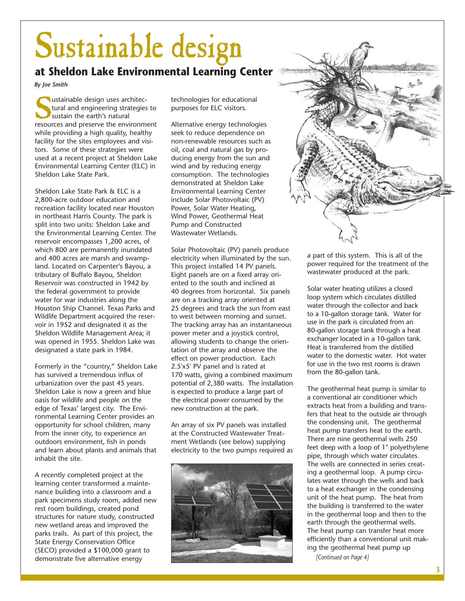# Sustainable design

# **at Sheldon Lake Environmental Learning Center**

*By Joe Smith*

sustainable design uses architectural and engineering strategies<br>sustain the earth's natural<br>resources and preserve the environm tural and engineering strategies to sustain the earth's natural resources and preserve the environment while providing a high quality, healthy facility for the sites employees and visitors. Some of these strategies were used at a recent project at Sheldon Lake Environmental Learning Center (ELC) in Sheldon Lake State Park.

Sheldon Lake State Park & ELC is a 2,800-acre outdoor education and recreation facility located near Houston in northeast Harris County. The park is split into two units: Sheldon Lake and the Environmental Learning Center. The reservoir encompasses 1,200 acres, of which 800 are permanently inundated and 400 acres are marsh and swampland. Located on Carpenter's Bayou, a tributary of Buffalo Bayou, Sheldon Reservoir was constructed in 1942 by the federal government to provide water for war industries along the Houston Ship Channel. Texas Parks and Wildlife Department acquired the reservoir in 1952 and designated it as the Sheldon Wildlife Management Area; it was opened in 1955. Sheldon Lake was designated a state park in 1984.

Formerly in the "country," Sheldon Lake has survived a tremendous influx of urbanization over the past 45 years. Sheldon Lake is now a green and blue oasis for wildlife and people on the edge of Texas' largest city. The Environmental Learning Center provides an opportunity for school children, many from the inner city, to experience an outdoors environment, fish in ponds and learn about plants and animals that inhabit the site.

A recently completed project at the learning center transformed a maintenance building into a classroom and a park specimens study room, added new rest room buildings, created pond structures for nature study, constructed new wetland areas and improved the parks trails. As part of this project, the State Energy Conservation Office (SECO) provided a \$100,000 grant to demonstrate five alternative energy

technologies for educational purposes for ELC visitors.

Alternative energy technologies seek to reduce dependence on non-renewable resources such as oil, coal and natural gas by producing energy from the sun and wind and by reducing energy consumption. The technologies demonstrated at Sheldon Lake Environmental Learning Center include Solar Photovoltaic (PV) Power, Solar Water Heating, Wind Power, Geothermal Heat Pump and Constructed Wastewater Wetlands.

Solar Photovoltaic (PV) panels produce electricity when illuminated by the sun. This project installed 14 PV panels. Eight panels are on a fixed array oriented to the south and inclined at 40 degrees from horizontal. Six panels are on a tracking array oriented at 25 degrees and track the sun from east to west between morning and sunset. The tracking array has an instantaneous power meter and a joystick control, allowing students to change the orientation of the array and observe the effect on power production. Each 2.5'x5' PV panel and is rated at 170 watts, giving a combined maximum potential of 2,380 watts. The installation is expected to produce a large part of the electrical power consumed by the new construction at the park.

An array of six PV panels was installed at the Constructed Wastewater Treatment Wetlands (see below) supplying electricity to the two pumps required as





a part of this system. This is all of the power required for the treatment of the wastewater produced at the park.

Solar water heating utilizes a closed loop system which circulates distilled water through the collector and back to a 10-gallon storage tank. Water for use in the park is circulated from an 80-gallon storage tank through a heat exchanger located in a 10-gallon tank. Heat is transferred from the distilled water to the domestic water. Hot water for use in the two rest rooms is drawn from the 80-gallon tank.

The geothermal heat pump is similar to a conventional air conditioner which extracts heat from a building and transfers that heat to the outside air through the condensing unit. The geothermal heat pump transfers heat to the earth. There are nine geothermal wells 250 feet deep with a loop of 1" polyethylene pipe, through which water circulates. The wells are connected in series creating a geothermal loop. A pump circulates water through the wells and back to a heat exchanger in the condensing unit of the heat pump. The heat from the building is transferred to the water in the geothermal loop and then to the earth through the geothermal wells. The heat pump can transfer heat more efficiently than a conventional unit making the geothermal heat pump up

*[Continued on Page 4]*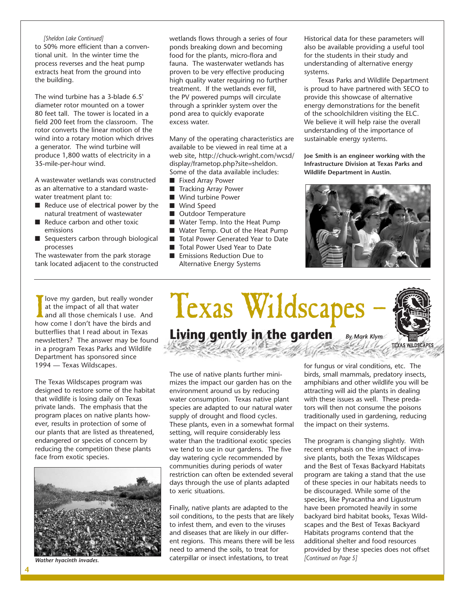### *[Sheldon Lake Continued]*

to 50% more efficient than a conventional unit. In the winter time the process reverses and the heat pump extracts heat from the ground into the building.

The wind turbine has a 3-blade 6.5' diameter rotor mounted on a tower 80 feet tall. The tower is located in a field 200 feet from the classroom. The rotor converts the linear motion of the wind into a rotary motion which drives a generator. The wind turbine will produce 1,800 watts of electricity in a 35-mile-per-hour wind.

A wastewater wetlands was constructed as an alternative to a standard wastewater treatment plant to:

- Reduce use of electrical power by the natural treatment of wastewater
- Reduce carbon and other toxic emissions
- Sequesters carbon through biological processes

The wastewater from the park storage tank located adjacent to the constructed wetlands flows through a series of four ponds breaking down and becoming food for the plants, micro-flora and fauna. The wasterwater wetlands has proven to be very effective producing high quality water requiring no further treatment. If the wetlands ever fill, the PV powered pumps will circulate through a sprinkler system over the pond area to quickly evaporate excess water.

Many of the operating characteristics are available to be viewed in real time at a web site, http://chuck-wright.com/wcsd/ display/frametop.php?site=sheldon. Some of the data available includes:

- Fixed Array Power
- Tracking Array Power
- Wind turbine Power
- Wind Speed
- Outdoor Temperature
- Water Temp. Into the Heat Pump
- Water Temp. Out of the Heat Pump
- Total Power Generated Year to Date
- Total Power Used Year to Date
- Emissions Reduction Due to Alternative Energy Systems

Historical data for these parameters will also be available providing a useful tool for the students in their study and understanding of alternative energy systems.

Texas Parks and Wildlife Department is proud to have partnered with SECO to provide this showcase of alternative energy demonstrations for the benefit of the schoolchildren visiting the ELC. We believe it will help raise the overall understanding of the importance of sustainable energy systems.

**Joe Smith is an engineer working with the Infrastructure Division at Texas Parks and Wildlife Department in Austin.**



I love my garden, but really wonde<br>at the impact of all that water<br>and all those chemicals I use. And<br>how come I don't have the birds and love my garden, but really wonder at the impact of all that water and all those chemicals I use. And butterflies that I read about in Texas newsletters? The answer may be found in a program Texas Parks and Wildlife Department has sponsored since 1994 — Texas Wildscapes.

The Texas Wildscapes program was designed to restore some of the habitat that wildlife is losing daily on Texas private lands. The emphasis that the program places on native plants however, results in protection of some of our plants that are listed as threatened, endangered or species of concern by reducing the competition these plants face from exotic species.



*Wather hyacinth invades.*

# *By Mark Klym* Texas Wildscapes **Living gently in the garden**



Finally, native plants are adapted to the soil conditions, to the pests that are likely to infest them, and even to the viruses and diseases that are likely in our different regions. This means there will be less need to amend the soils, to treat for caterpillar or insect infestations, to treat

for fungus or viral conditions, etc. The birds, small mammals, predatory insects, amphibians and other wildlife you will be attracting will aid the plants in dealing with these issues as well. These predators will then not consume the poisons traditionally used in gardening, reducing the impact on their systems.

The program is changing slightly. With recent emphasis on the impact of invasive plants, both the Texas Wildscapes and the Best of Texas Backyard Habitats program are taking a stand that the use of these species in our habitats needs to be discouraged. While some of the species, like Pyracantha and Ligustrum have been promoted heavily in some backyard bird habitat books, Texas Wildscapes and the Best of Texas Backyard Habitats programs contend that the additional shelter and food resources provided by these species does not offset *[Continued on Page 5]*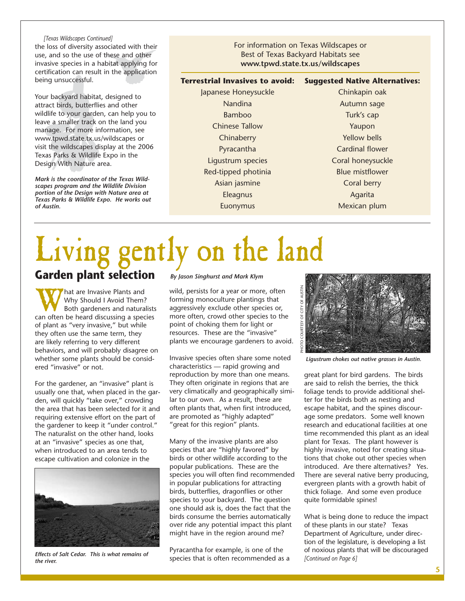*[Texas Wildscapes Continued]* the loss of diversity associated with their use, and so the use of these and other invasive species in a habitat applying for certification can result in the application being unsuccessful.

Your backyard habitat, designed to attract birds, butterflies and other wildlife to your garden, can help you to leave a smaller track on the land you manage. For more information, see www.tpwd.state.tx.us/wildscapes or visit the wildscapes display at the 2006 Texas Parks & Wildlife Expo in the Design With Nature area.

*Mark is the coordinator of the Texas Wildscapes program and the Wildlife Division portion of the Design with Nature area at Texas Parks & Wildlife Expo. He works out of Austin.*

For information on Texas Wildscapes or Best of Texas Backyard Habitats see **www.tpwd.state.tx.us/wildscapes**

### **Terrestrial Invasives to avoid: Suggested Native Alternatives:**

Japanese Honeysuckle Nandina Bamboo Chinese Tallow **Chinaberry** Pyracantha Ligustrum species Red-tipped photinia Asian jasmine Eleagnus Euonymus

Chinkapin oak Autumn sage Turk's cap Yaupon Yellow bells Cardinal flower Coral honeysuckle Blue mistflower Coral berry Agarita Mexican plum

# Living gently on the land **Garden plant selection**

What are Invasive Plants and<br>
Why Should I Avoid Them?<br>
Both gardeners and naturalist<br>
can often be heard discussing a species Why Should I Avoid Them? Both gardeners and naturalists of plant as "very invasive," but while they often use the same term, they are likely referring to very different behaviors, and will probably disagree on whether some plants should be considered "invasive" or not.

For the gardener, an "invasive" plant is usually one that, when placed in the garden, will quickly "take over," crowding the area that has been selected for it and requiring extensive effort on the part of the gardener to keep it "under control." The naturalist on the other hand, looks at an "invasive" species as one that, when introduced to an area tends to escape cultivation and colonize in the



*Effects of Salt Cedar. This is what remains of the river.*

*By Jason Singhurst and Mark Klym*

wild, persists for a year or more, often forming monoculture plantings that aggressively exclude other species or, more often, crowd other species to the point of choking them for light or resources. These are the "invasive" plants we encourage gardeners to avoid.

Invasive species often share some noted characteristics — rapid growing and reproduction by more than one means. They often originate in regions that are very climatically and geographically similar to our own. As a result, these are often plants that, when first introduced, are promoted as "highly adapted" "great for this region" plants.

Many of the invasive plants are also species that are "highly favored" by birds or other wildlife according to the popular publications. These are the species you will often find recommended in popular publications for attracting birds, butterflies, dragonflies or other species to your backyard. The question one should ask is, does the fact that the birds consume the berries automatically over ride any potential impact this plant might have in the region around me?

Pyracantha for example, is one of the species that is often recommended as a



*Ligustrum chokes out native grasses in Austin.*

great plant for bird gardens. The birds are said to relish the berries, the thick foliage tends to provide additional shelter for the birds both as nesting and escape habitat, and the spines discourage some predators. Some well known research and educational facilities at one time recommended this plant as an ideal plant for Texas. The plant however is highly invasive, noted for creating situations that choke out other species when introduced. Are there alternatives? Yes. There are several native berry producing, evergreen plants with a growth habit of thick foliage. And some even produce quite formidable spines!

What is being done to reduce the impact of these plants in our state? Texas Department of Agriculture, under direction of the legislature, is developing a list of noxious plants that will be discouraged *[Continued on Page 6]*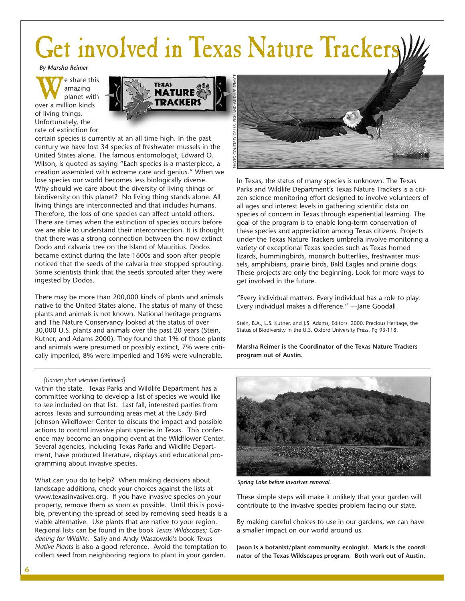# Get involved in Texas Nature Trackers)

*By Marsha Reimer*

We share this<br>
planet with<br>
over a million kinds amazing planet with of living things. Unfortunately, the rate of extinction for



certain species is currently at an all time high. In the past century we have lost 34 species of freshwater mussels in the United States alone. The famous entomologist, Edward O. Wilson, is quoted as saying "Each species is a masterpiece, a creation assembled with extreme care and genius." When we lose species our world becomes less biologically diverse. Why should we care about the diversity of living things or biodiversity on this planet? No living thing stands alone. All living things are interconnected and that includes humans. Therefore, the loss of one species can affect untold others. There are times when the extinction of species occurs before we are able to understand their interconnection. It is thought that there was a strong connection between the now extinct Dodo and calvaria tree on the island of Mauritius. Dodos became extinct during the late 1600s and soon after people noticed that the seeds of the calvaria tree stopped sprouting. Some scientists think that the seeds sprouted after they were ingested by Dodos.

There may be more than 200,000 kinds of plants and animals native to the United States alone. The status of many of these plants and animals is not known. National heritage programs and The Nature Conservancy looked at the status of over 30,000 U.S. plants and animals over the past 20 years (Stein, Kutner, and Adams 2000). They found that 1% of those plants and animals were presumed or possibly extinct, 7% were critically imperiled, 8% were imperiled and 16% were vulnerable.

In Texas, the status of many species is unknown. The Texas Parks and Wildlife Department's Texas Nature Trackers is a citizen science monitoring effort designed to involve volunteers of all ages and interest levels in gathering scientific data on species of concern in Texas through experiential learning. The goal of the program is to enable long-term conservation of these species and appreciation among Texas citizens. Projects under the Texas Nature Trackers umbrella involve monitoring a variety of exceptional Texas species such as Texas horned lizards, hummingbirds, monarch butterflies, freshwater mussels, amphibians, prairie birds, Bald Eagles and prairie dogs. These projects are only the beginning. Look for more ways to get involved in the future.

"Every individual matters. Every individual has a role to play. Every individual makes a difference." —Jane Goodall

Stein, B.A., L.S. Kutner, and J.S. Adams, Editors. 2000. Precious Heritage, the Status of Biodiversity in the U.S. Oxford University Press. Pg 93-118.

**Marsha Reimer is the Coordinator of the Texas Nature Trackers program out of Austin.**

### *[Garden plant selection Continued]*

within the state. Texas Parks and Wildlife Department has a committee working to develop a list of species we would like to see included on that list. Last fall, interested parties from across Texas and surrounding areas met at the Lady Bird Johnson Wildflower Center to discuss the impact and possible actions to control invasive plant species in Texas. This conference may become an ongoing event at the Wildflower Center. Several agencies, including Texas Parks and Wildlife Department, have produced literature, displays and educational programming about invasive species.

What can you do to help? When making decisions about landscape additions, check your choices against the lists at www.texasinvasives.org. If you have invasive species on your property, remove them as soon as possible. Until this is possible, preventing the spread of seed by removing seed heads is a viable alternative. Use plants that are native to your region. Regional lists can be found in the book *Texas Wildscapes; Gardening for Wildlife*. Sally and Andy Waszowski's book *Texas Native Plants* is also a good reference. Avoid the temptation to collect seed from neighboring regions to plant in your garden.



*Spring Lake before invasives removal.*

These simple steps will make it unlikely that your garden will contribute to the invasive species problem facing our state.

By making careful choices to use in our gardens, we can have a smaller impact on our world around us.

**Jason is a botanist/plant community ecologist. Mark is the coordinator of the Texas Wildscapes program. Both work out of Austin.**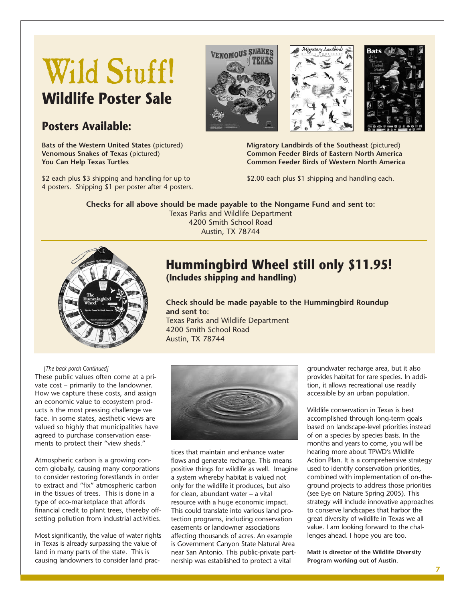# Wild Stuff! **Wildlife Poster Sale**

# **Posters Available:**

**Bats of the Western United States** (pictured) **Venomous Snakes of Texas** (pictured) **You Can Help Texas Turtles**

\$2 each plus \$3 shipping and handling for up to 4 posters. Shipping \$1 per poster after 4 posters.







**Migratory Landbirds of the Southeast** (pictured) **Common Feeder Birds of Eastern North America Common Feeder Birds of Western North America**

\$2.00 each plus \$1 shipping and handling each.

**Checks for all above should be made payable to the Nongame Fund and sent to:** Texas Parks and Wildlife Department 4200 Smith School Road Austin, TX 78744



# **Hummingbird Wheel still only \$11.95! (Includes shipping and handling)**

**Check should be made payable to the Hummingbird Roundup and sent to:** Texas Parks and Wildlife Department 4200 Smith School Road Austin, TX 78744

### *[The back porch Continued]*

These public values often come at a private cost – primarily to the landowner. How we capture these costs, and assign an economic value to ecosystem products is the most pressing challenge we face. In some states, aesthetic views are valued so highly that municipalities have agreed to purchase conservation easements to protect their "view sheds."

Atmospheric carbon is a growing concern globally, causing many corporations to consider restoring forestlands in order to extract and "fix" atmospheric carbon in the tissues of trees. This is done in a type of eco-marketplace that affords financial credit to plant trees, thereby offsetting pollution from industrial activities.

Most significantly, the value of water rights in Texas is already surpassing the value of land in many parts of the state. This is causing landowners to consider land prac-



tices that maintain and enhance water flows and generate recharge. This means positive things for wildlife as well. Imagine a system whereby habitat is valued not only for the wildlife it produces, but also for clean, abundant water – a vital resource with a huge economic impact. This could translate into various land protection programs, including conservation easements or landowner associations affecting thousands of acres. An example is Government Canyon State Natural Area near San Antonio. This public-private partnership was established to protect a vital

groundwater recharge area, but it also provides habitat for rare species. In addition, it allows recreational use readily accessible by an urban population.

Wildlife conservation in Texas is best accomplished through long-term goals based on landscape-level priorities instead of on a species by species basis. In the months and years to come, you will be hearing more about TPWD's Wildlife Action Plan. It is a comprehensive strategy used to identify conservation priorities, combined with implementation of on-theground projects to address those priorities (see Eye on Nature Spring 2005). This strategy will include innovative approaches to conserve landscapes that harbor the great diversity of wildlife in Texas we all value. I am looking forward to the challenges ahead. I hope you are too.

**Matt is director of the Wildlife Diversity Program working out of Austin.**